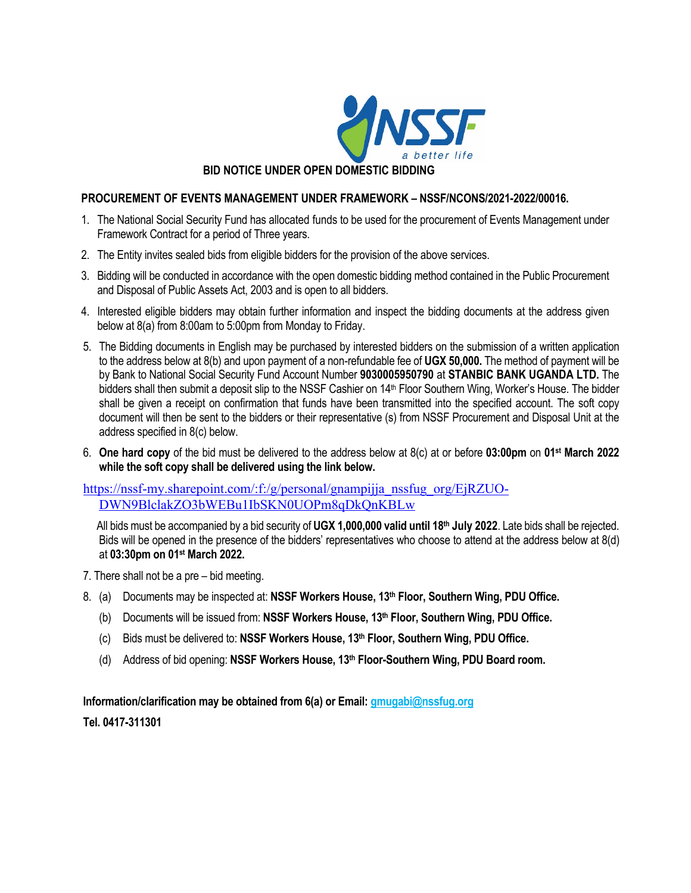

## **BID NOTICE UNDER OPEN DOMESTIC BIDDING**

## **PROCUREMENT OF EVENTS MANAGEMENT UNDER FRAMEWORK – NSSF/NCONS/2021-2022/00016.**

- 1. The National Social Security Fund has allocated funds to be used for the procurement of Events Management under Framework Contract for a period of Three years.
- 2. The Entity invites sealed bids from eligible bidders for the provision of the above services.
- 3. Bidding will be conducted in accordance with the open domestic bidding method contained in the Public Procurement and Disposal of Public Assets Act, 2003 and is open to all bidders.
- 4. Interested eligible bidders may obtain further information and inspect the bidding documents at the address given below at 8(a) from 8:00am to 5:00pm from Monday to Friday.
- 5. The Bidding documents in English may be purchased by interested bidders on the submission of a written application to the address below at 8(b) and upon payment of a non-refundable fee of **UGX 50,000.** The method of payment will be by Bank to National Social Security Fund Account Number **9030005950790** at **STANBIC BANK UGANDA LTD.** The bidders shall then submit a deposit slip to the NSSF Cashier on 14<sup>th</sup> Floor Southern Wing, Worker's House. The bidder shall be given a receipt on confirmation that funds have been transmitted into the specified account. The soft copy document will then be sent to the bidders or their representative (s) from NSSF Procurement and Disposal Unit at the address specified in 8(c) below.
- 6. **One hard copy** of the bid must be delivered to the address below at 8(c) at or before **03:00pm** on **01st March 2022 while the soft copy shall be delivered using the link below.**

https://nssf-my.sharepoint.com/:f:/g/personal/gnampijja\_nssfug\_org/EjRZUO-DWN9BlclakZO3bWEBu1IbSKN0UOPm8qDkQnKBLw

All bids must be accompanied by a bid security of **UGX 1,000,000 valid until 18th July 2022**. Late bids shall be rejected. Bids will be opened in the presence of the bidders' representatives who choose to attend at the address below at 8(d) at **03:30pm on 01st March 2022.**

- 7. There shall not be a pre bid meeting.
- 8. (a) Documents may be inspected at: **NSSF Workers House, 13th Floor, Southern Wing, PDU Office.**
	- (b) Documents will be issued from: **NSSF Workers House, 13th Floor, Southern Wing, PDU Office.**
	- (c) Bids must be delivered to: **NSSF Workers House, 13th Floor, Southern Wing, PDU Office.**
	- (d) Address of bid opening: **NSSF Workers House, 13th Floor-Southern Wing, PDU Board room.**

**Information/clarification may be obtained from 6(a) or Email: gmugabi@nssfug.org Tel. 0417-311301**